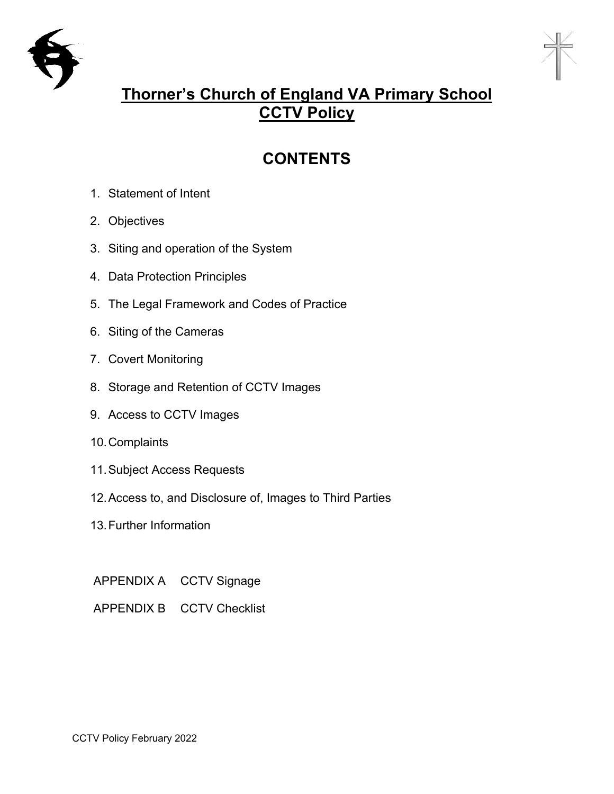



# **Thorner's Church of England VA Primary School CCTV Policy**

# **CONTENTS**

- 1. Statement of Intent
- 2. Objectives
- 3. Siting and operation of the System
- 4. Data Protection Principles
- 5. The Legal Framework and Codes of Practice
- 6. Siting of the Cameras
- 7. Covert Monitoring
- 8. Storage and Retention of CCTV Images
- 9. Access to CCTV Images
- 10.Complaints
- 11.Subject Access Requests
- 12.Access to, and Disclosure of, Images to Third Parties
- 13.Further Information
- APPENDIX A CCTV Signage
- APPENDIX B CCTV Checklist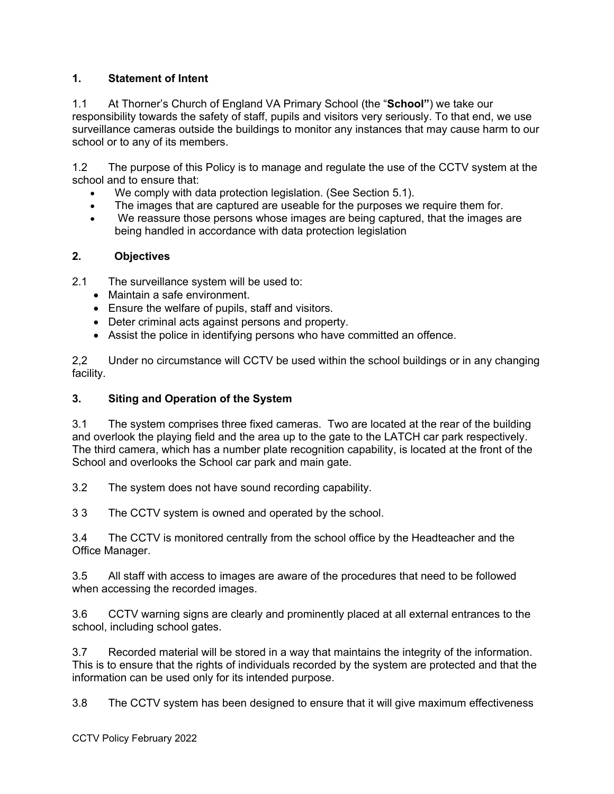### **1. Statement of Intent**

1.1 At Thorner's Church of England VA Primary School (the "**School"**) we take our responsibility towards the safety of staff, pupils and visitors very seriously. To that end, we use surveillance cameras outside the buildings to monitor any instances that may cause harm to our school or to any of its members.

1.2 The purpose of this Policy is to manage and regulate the use of the CCTV system at the school and to ensure that:

- We comply with data protection legislation. (See Section 5.1).
- The images that are captured are useable for the purposes we require them for.
- We reassure those persons whose images are being captured, that the images are being handled in accordance with data protection legislation

#### **2. Objectives**

2.1 The surveillance system will be used to:

- Maintain a safe environment
- Ensure the welfare of pupils, staff and visitors.
- Deter criminal acts against persons and property.
- Assist the police in identifying persons who have committed an offence.

2,2 Under no circumstance will CCTV be used within the school buildings or in any changing facility.

#### **3. Siting and Operation of the System**

3.1 The system comprises three fixed cameras. Two are located at the rear of the building and overlook the playing field and the area up to the gate to the LATCH car park respectively. The third camera, which has a number plate recognition capability, is located at the front of the School and overlooks the School car park and main gate.

3.2 The system does not have sound recording capability.

3 3 The CCTV system is owned and operated by the school.

3.4 The CCTV is monitored centrally from the school office by the Headteacher and the Office Manager.

3.5 All staff with access to images are aware of the procedures that need to be followed when accessing the recorded images.

3.6 CCTV warning signs are clearly and prominently placed at all external entrances to the school, including school gates.

3.7 Recorded material will be stored in a way that maintains the integrity of the information. This is to ensure that the rights of individuals recorded by the system are protected and that the information can be used only for its intended purpose.

3.8 The CCTV system has been designed to ensure that it will give maximum effectiveness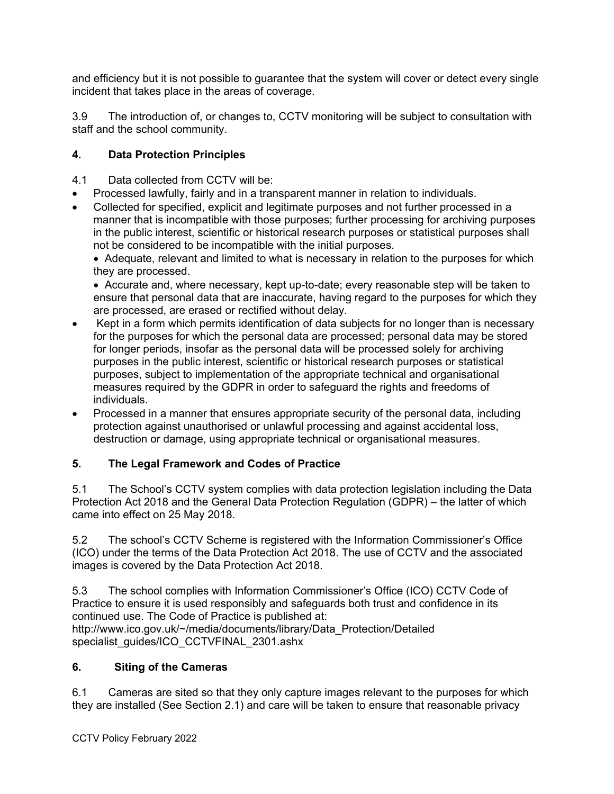and efficiency but it is not possible to guarantee that the system will cover or detect every single incident that takes place in the areas of coverage.

3.9 The introduction of, or changes to, CCTV monitoring will be subject to consultation with staff and the school community.

# **4. Data Protection Principles**

- 4.1 Data collected from CCTV will be:
- Processed lawfully, fairly and in a transparent manner in relation to individuals.
- Collected for specified, explicit and legitimate purposes and not further processed in a manner that is incompatible with those purposes; further processing for archiving purposes in the public interest, scientific or historical research purposes or statistical purposes shall not be considered to be incompatible with the initial purposes.

• Adequate, relevant and limited to what is necessary in relation to the purposes for which they are processed.

• Accurate and, where necessary, kept up-to-date; every reasonable step will be taken to ensure that personal data that are inaccurate, having regard to the purposes for which they are processed, are erased or rectified without delay.

- Kept in a form which permits identification of data subjects for no longer than is necessary for the purposes for which the personal data are processed; personal data may be stored for longer periods, insofar as the personal data will be processed solely for archiving purposes in the public interest, scientific or historical research purposes or statistical purposes, subject to implementation of the appropriate technical and organisational measures required by the GDPR in order to safeguard the rights and freedoms of individuals.
- Processed in a manner that ensures appropriate security of the personal data, including protection against unauthorised or unlawful processing and against accidental loss, destruction or damage, using appropriate technical or organisational measures.

# **5. The Legal Framework and Codes of Practice**

5.1 The School's CCTV system complies with data protection legislation including the Data Protection Act 2018 and the General Data Protection Regulation (GDPR) – the latter of which came into effect on 25 May 2018.

5.2 The school's CCTV Scheme is registered with the Information Commissioner's Office (ICO) under the terms of the Data Protection Act 2018. The use of CCTV and the associated images is covered by the Data Protection Act 2018.

5.3 The school complies with Information Commissioner's Office (ICO) CCTV Code of Practice to ensure it is used responsibly and safeguards both trust and confidence in its continued use. The Code of Practice is published at: http://www.ico.gov.uk/~/media/documents/library/Data\_Protection/Detailed specialist\_guides/ICO\_CCTVFINAL\_2301.ashx

# **6. Siting of the Cameras**

6.1 Cameras are sited so that they only capture images relevant to the purposes for which they are installed (See Section 2.1) and care will be taken to ensure that reasonable privacy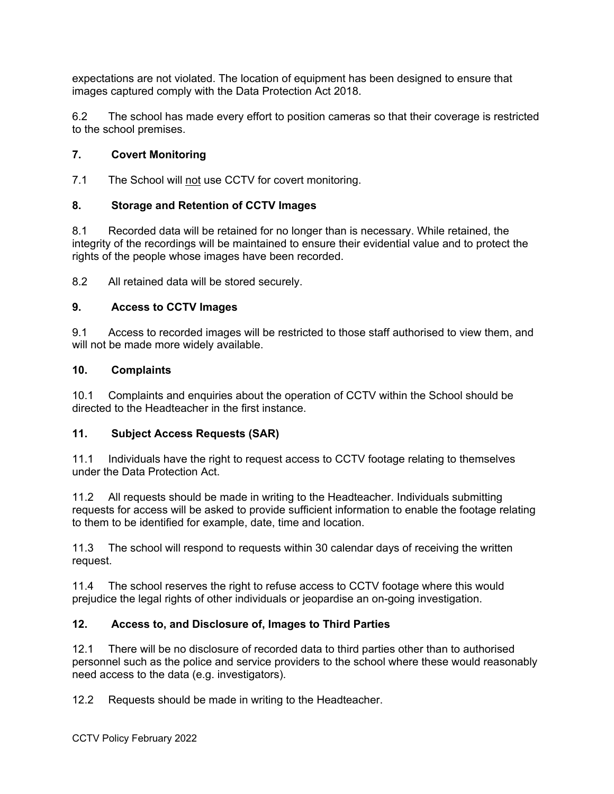expectations are not violated. The location of equipment has been designed to ensure that images captured comply with the Data Protection Act 2018.

6.2 The school has made every effort to position cameras so that their coverage is restricted to the school premises.

## **7. Covert Monitoring**

7.1 The School will not use CCTV for covert monitoring.

## **8. Storage and Retention of CCTV Images**

8.1 Recorded data will be retained for no longer than is necessary. While retained, the integrity of the recordings will be maintained to ensure their evidential value and to protect the rights of the people whose images have been recorded.

8.2 All retained data will be stored securely.

### **9. Access to CCTV Images**

9.1 Access to recorded images will be restricted to those staff authorised to view them, and will not be made more widely available.

### **10. Complaints**

10.1 Complaints and enquiries about the operation of CCTV within the School should be directed to the Headteacher in the first instance.

### **11. Subject Access Requests (SAR)**

11.1 Individuals have the right to request access to CCTV footage relating to themselves under the Data Protection Act.

11.2 All requests should be made in writing to the Headteacher. Individuals submitting requests for access will be asked to provide sufficient information to enable the footage relating to them to be identified for example, date, time and location.

11.3 The school will respond to requests within 30 calendar days of receiving the written request.

11.4 The school reserves the right to refuse access to CCTV footage where this would prejudice the legal rights of other individuals or jeopardise an on-going investigation.

### **12. Access to, and Disclosure of, Images to Third Parties**

12.1 There will be no disclosure of recorded data to third parties other than to authorised personnel such as the police and service providers to the school where these would reasonably need access to the data (e.g. investigators).

12.2 Requests should be made in writing to the Headteacher.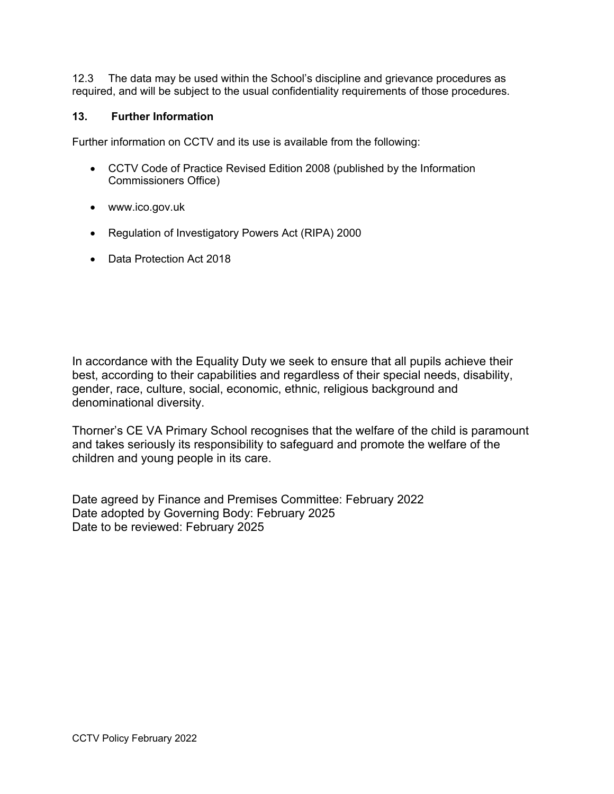12.3 The data may be used within the School's discipline and grievance procedures as required, and will be subject to the usual confidentiality requirements of those procedures.

#### **13. Further Information**

Further information on CCTV and its use is available from the following:

- CCTV Code of Practice Revised Edition 2008 (published by the Information Commissioners Office)
- www.ico.gov.uk
- Regulation of Investigatory Powers Act (RIPA) 2000
- Data Protection Act 2018

In accordance with the Equality Duty we seek to ensure that all pupils achieve their best, according to their capabilities and regardless of their special needs, disability, gender, race, culture, social, economic, ethnic, religious background and denominational diversity.

Thorner's CE VA Primary School recognises that the welfare of the child is paramount and takes seriously its responsibility to safeguard and promote the welfare of the children and young people in its care.

Date agreed by Finance and Premises Committee: February 2022 Date adopted by Governing Body: February 2025 Date to be reviewed: February 2025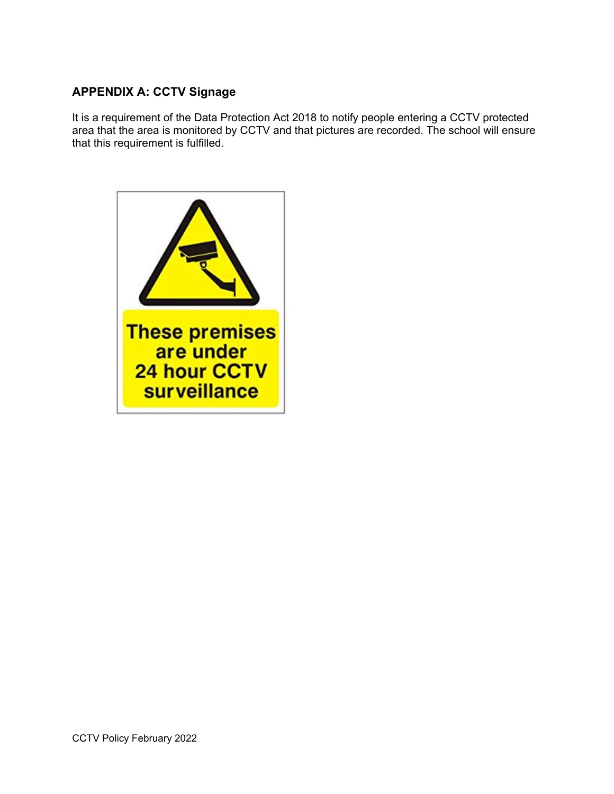# **APPENDIX A: CCTV Signage**

It is a requirement of the Data Protection Act 2018 to notify people entering a CCTV protected area that the area is monitored by CCTV and that pictures are recorded. The school will ensure that this requirement is fulfilled.